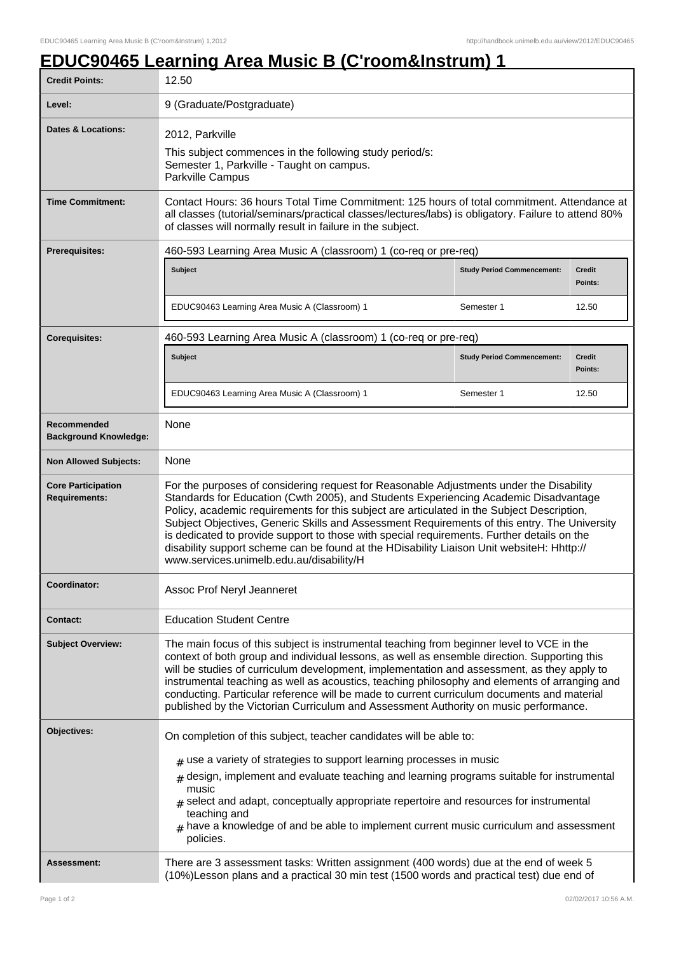## **EDUC90465 Learning Area Music B (C'room&Instrum) 1**

| <b>Credit Points:</b>                             | 12.50                                                                                                                                                                                                                                                                                                                                                                                                                                                                                                                                                                                                                |                                   |                          |  |
|---------------------------------------------------|----------------------------------------------------------------------------------------------------------------------------------------------------------------------------------------------------------------------------------------------------------------------------------------------------------------------------------------------------------------------------------------------------------------------------------------------------------------------------------------------------------------------------------------------------------------------------------------------------------------------|-----------------------------------|--------------------------|--|
| Level:                                            | 9 (Graduate/Postgraduate)                                                                                                                                                                                                                                                                                                                                                                                                                                                                                                                                                                                            |                                   |                          |  |
| Dates & Locations:                                | 2012, Parkville<br>This subject commences in the following study period/s:<br>Semester 1, Parkville - Taught on campus.<br>Parkville Campus                                                                                                                                                                                                                                                                                                                                                                                                                                                                          |                                   |                          |  |
| <b>Time Commitment:</b>                           | Contact Hours: 36 hours Total Time Commitment: 125 hours of total commitment. Attendance at<br>all classes (tutorial/seminars/practical classes/lectures/labs) is obligatory. Failure to attend 80%<br>of classes will normally result in failure in the subject.                                                                                                                                                                                                                                                                                                                                                    |                                   |                          |  |
| Prerequisites:                                    | 460-593 Learning Area Music A (classroom) 1 (co-req or pre-req)                                                                                                                                                                                                                                                                                                                                                                                                                                                                                                                                                      |                                   |                          |  |
|                                                   | Subject                                                                                                                                                                                                                                                                                                                                                                                                                                                                                                                                                                                                              | <b>Study Period Commencement:</b> | <b>Credit</b><br>Points: |  |
|                                                   | EDUC90463 Learning Area Music A (Classroom) 1                                                                                                                                                                                                                                                                                                                                                                                                                                                                                                                                                                        | Semester 1                        | 12.50                    |  |
| <b>Corequisites:</b>                              | 460-593 Learning Area Music A (classroom) 1 (co-req or pre-req)                                                                                                                                                                                                                                                                                                                                                                                                                                                                                                                                                      |                                   |                          |  |
|                                                   | <b>Subject</b>                                                                                                                                                                                                                                                                                                                                                                                                                                                                                                                                                                                                       | <b>Study Period Commencement:</b> | <b>Credit</b><br>Points: |  |
|                                                   | EDUC90463 Learning Area Music A (Classroom) 1                                                                                                                                                                                                                                                                                                                                                                                                                                                                                                                                                                        | Semester 1                        | 12.50                    |  |
| Recommended<br><b>Background Knowledge:</b>       | None                                                                                                                                                                                                                                                                                                                                                                                                                                                                                                                                                                                                                 |                                   |                          |  |
| <b>Non Allowed Subjects:</b>                      | None                                                                                                                                                                                                                                                                                                                                                                                                                                                                                                                                                                                                                 |                                   |                          |  |
| <b>Core Participation</b><br><b>Requirements:</b> | For the purposes of considering request for Reasonable Adjustments under the Disability<br>Standards for Education (Cwth 2005), and Students Experiencing Academic Disadvantage<br>Policy, academic requirements for this subject are articulated in the Subject Description,<br>Subject Objectives, Generic Skills and Assessment Requirements of this entry. The University<br>is dedicated to provide support to those with special requirements. Further details on the<br>disability support scheme can be found at the HDisability Liaison Unit websiteH: Hhttp://<br>www.services.unimelb.edu.au/disability/H |                                   |                          |  |
| Coordinator:                                      | Assoc Prof Neryl Jeanneret                                                                                                                                                                                                                                                                                                                                                                                                                                                                                                                                                                                           |                                   |                          |  |
| <b>Contact:</b>                                   | <b>Education Student Centre</b>                                                                                                                                                                                                                                                                                                                                                                                                                                                                                                                                                                                      |                                   |                          |  |
| <b>Subject Overview:</b>                          | The main focus of this subject is instrumental teaching from beginner level to VCE in the<br>context of both group and individual lessons, as well as ensemble direction. Supporting this<br>will be studies of curriculum development, implementation and assessment, as they apply to<br>instrumental teaching as well as acoustics, teaching philosophy and elements of arranging and<br>conducting. Particular reference will be made to current curriculum documents and material<br>published by the Victorian Curriculum and Assessment Authority on music performance.                                       |                                   |                          |  |
| Objectives:                                       | On completion of this subject, teacher candidates will be able to:                                                                                                                                                                                                                                                                                                                                                                                                                                                                                                                                                   |                                   |                          |  |
|                                                   | $_{\text{\#}}$ use a variety of strategies to support learning processes in music<br>$#$ design, implement and evaluate teaching and learning programs suitable for instrumental<br>music<br>$_{\text{\#}}$ select and adapt, conceptually appropriate repertoire and resources for instrumental<br>teaching and<br>$#$ have a knowledge of and be able to implement current music curriculum and assessment<br>policies.                                                                                                                                                                                            |                                   |                          |  |
| Assessment:                                       | There are 3 assessment tasks: Written assignment (400 words) due at the end of week 5<br>(10%) Lesson plans and a practical 30 min test (1500 words and practical test) due end of                                                                                                                                                                                                                                                                                                                                                                                                                                   |                                   |                          |  |